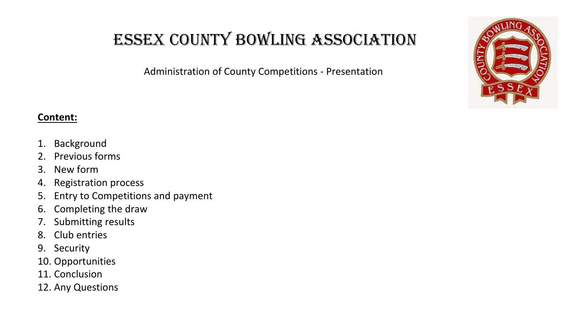Administration of County Competitions - Presentation



- 1. Background
- 2. Previous forms
- 3. New form
- 4. Registration process
- 5. Entry to Competitions and payment
- 6. Completing the draw
- 7. Submitting results
- 8. Club entries
- 9. Security
- 10. Opportunities
- 11. Conclusion
- 12. Any Questions

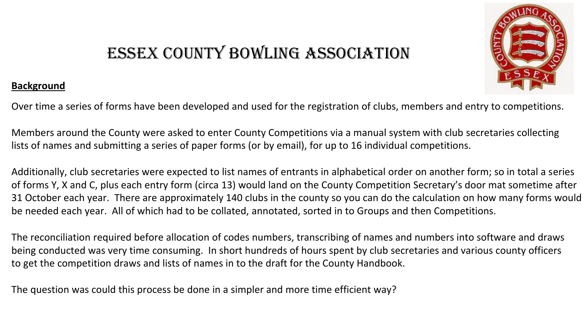#### **Background**



Over time a series of forms have been developed and used for the registration of clubs, members and entry to competitions.

Members around the County were asked to enter County Competitions via a manual system with club secretaries collecting lists of names and submitting a series of paper forms (or by email), for up to 16 individual competitions.

Additionally, club secretaries were expected to list names of entrants in alphabetical order on another form; so in total a series of forms Y, X and C, plus each entry form (circa 13) would land on the County Competition Secretary's door mat sometime after 31 October each year. There are approximately 140 clubs in the county so you can do the calculation on how many forms would be needed each year. All of which had to be collated, annotated, sorted in to Groups and then Competitions.

The reconciliation required before allocation of codes numbers, transcribing of names and numbers into software and draws being conducted was very time consuming. In short hundreds of hours spent by club secretaries and various county officers to get the competition draws and lists of names in to the draft for the County Handbook.

The question was could this process be done in a simpler and more time efficient way?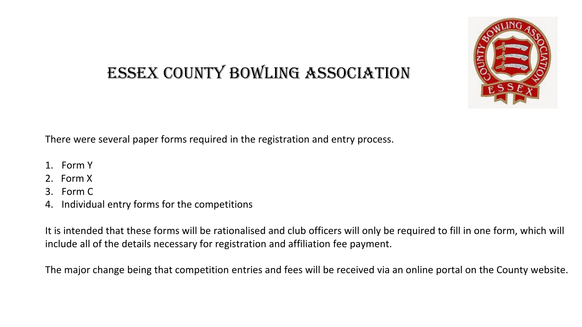

There were several paper forms required in the registration and entry process.

- 1. Form Y
- 2. Form X
- 3. Form C
- 4. Individual entry forms for the competitions

It is intended that these forms will be rationalised and club officers will only be required to fill in one form, which will include all of the details necessary for registration and affiliation fee payment.

The major change being that competition entries and fees will be received via an online portal on the County website.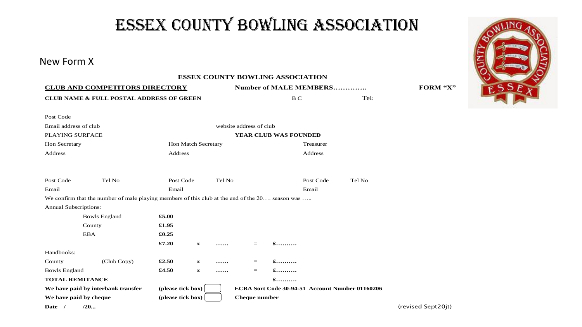#### New Form X

**ESSEX COUNTY BOWLING ASSOCIATION CLUB AND COMPETITORS DIRECTORY Number of MALE MEMBERS………….. FORM "X" CLUB NAME & FULL POSTAL ADDRESS OF GREEN** B C B C Tel: Post Code Email address of club website address of club PLAYING SURFACE **YEAR CLUB WAS FOUNDED** Hon Secretary Hon Match Secretary Treasurer Address Address Address Address Address Address Address Address Address Address Address Address Address Address Address Address Address Address Address Address Address Address Address Address Address Address Address Addres Post Code Tel No Post Code Tel No Post Code Tel No Email Email Email We confirm that the number of male playing members of this club at the end of the 20... season was ..... Annual Subscriptions: Bowls England **£5.00** County **£1.95** EBA **£0.25 £7.20 x …… = £……….** Handbooks: County (Club Copy) **£2.50 x …… = £……….** Bowls England **£4.50 x …… = £………. TOTAL REMITANCE £……….** We have paid by interbank transfer (please tick box) FECBA Sort Code 30-94-51 Account Number 01160206 **We have paid by cheque**  $\qquad \qquad$  **(please tick box)** Cheque number **Date / /20...** (revised Sept20jt)

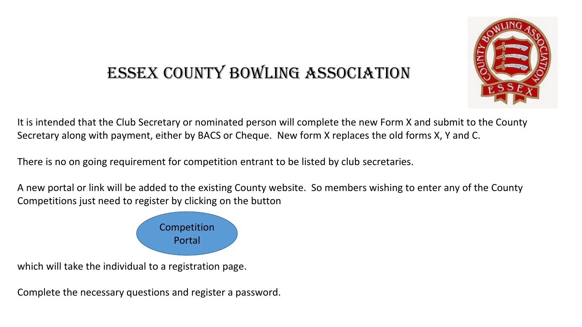

It is intended that the Club Secretary or nominated person will complete the new Form X and submit to the County Secretary along with payment, either by BACS or Cheque. New form X replaces the old forms X, Y and C.

There is no on going requirement for competition entrant to be listed by club secretaries.

A new portal or link will be added to the existing County website. So members wishing to enter any of the County Competitions just need to register by clicking on the button



which will take the individual to a registration page.

Complete the necessary questions and register a password.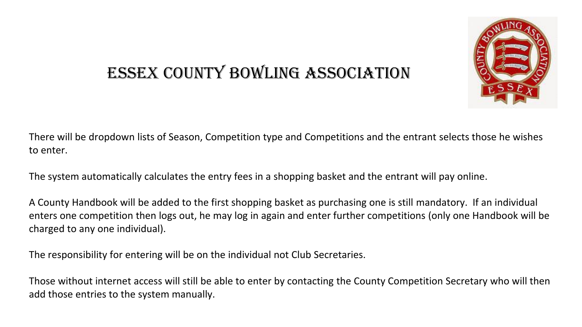

There will be dropdown lists of Season, Competition type and Competitions and the entrant selects those he wishes to enter.

The system automatically calculates the entry fees in a shopping basket and the entrant will pay online.

A County Handbook will be added to the first shopping basket as purchasing one is still mandatory. If an individual enters one competition then logs out, he may log in again and enter further competitions (only one Handbook will be charged to any one individual).

The responsibility for entering will be on the individual not Club Secretaries.

Those without internet access will still be able to enter by contacting the County Competition Secretary who will then add those entries to the system manually.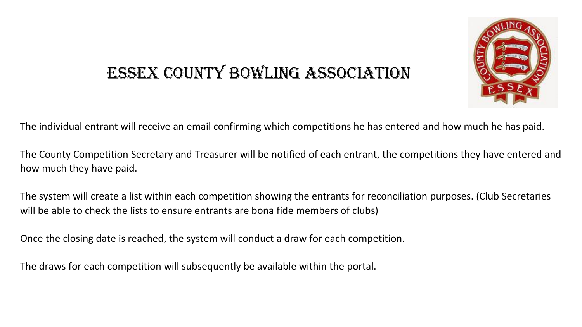

The individual entrant will receive an email confirming which competitions he has entered and how much he has paid.

The County Competition Secretary and Treasurer will be notified of each entrant, the competitions they have entered and how much they have paid.

The system will create a list within each competition showing the entrants for reconciliation purposes. (Club Secretaries will be able to check the lists to ensure entrants are bona fide members of clubs)

Once the closing date is reached, the system will conduct a draw for each competition.

The draws for each competition will subsequently be available within the portal.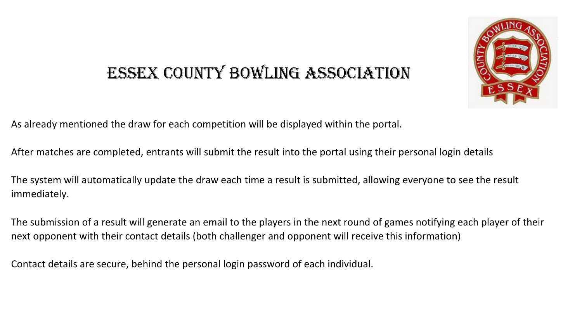

As already mentioned the draw for each competition will be displayed within the portal.

After matches are completed, entrants will submit the result into the portal using their personal login details

The system will automatically update the draw each time a result is submitted, allowing everyone to see the result immediately.

The submission of a result will generate an email to the players in the next round of games notifying each player of their next opponent with their contact details (both challenger and opponent will receive this information)

Contact details are secure, behind the personal login password of each individual.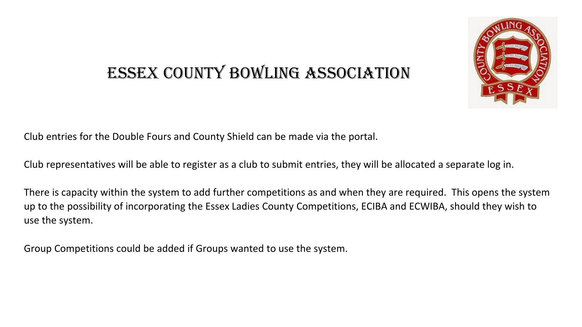

Club entries for the Double Fours and County Shield can be made via the portal.

Club representatives will be able to register as a club to submit entries, they will be allocated a separate log in.

There is capacity within the system to add further competitions as and when they are required. This opens the system up to the possibility of incorporating the Essex Ladies County Competitions, ECIBA and ECWIBA, should they wish to use the system.

Group Competitions could be added if Groups wanted to use the system.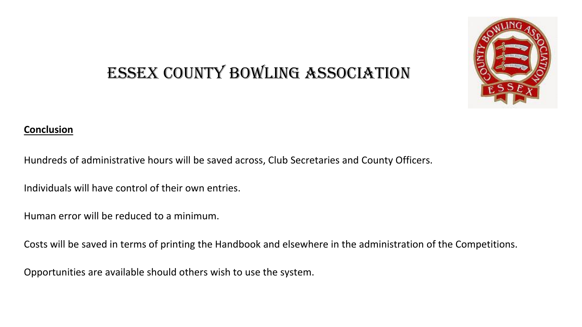

#### **Conclusion**

Hundreds of administrative hours will be saved across, Club Secretaries and County Officers.

Individuals will have control of their own entries.

Human error will be reduced to a minimum.

Costs will be saved in terms of printing the Handbook and elsewhere in the administration of the Competitions.

Opportunities are available should others wish to use the system.